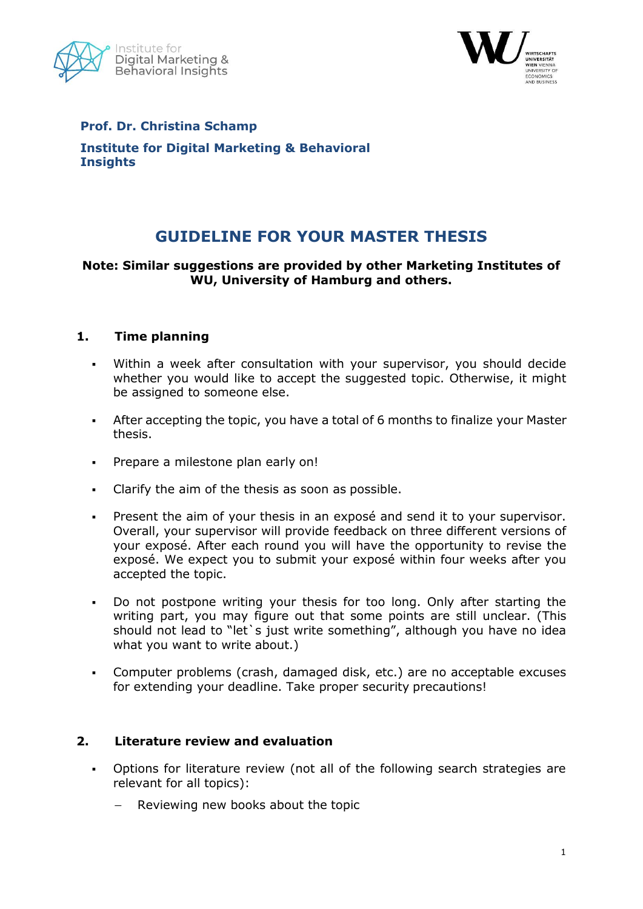



# **Prof. Dr. Christina Schamp Institute for Digital Marketing & Behavioral Insights**

# **GUIDELINE FOR YOUR MASTER THESIS**

## **Note: Similar suggestions are provided by other Marketing Institutes of WU, University of Hamburg and others.**

## **1. Time planning**

- Within a week after consultation with your supervisor, you should decide whether you would like to accept the suggested topic. Otherwise, it might be assigned to someone else.
- After accepting the topic, you have a total of 6 months to finalize your Master thesis.
- Prepare a milestone plan early on!
- Clarify the aim of the thesis as soon as possible.
- Present the aim of your thesis in an exposé and send it to your supervisor. Overall, your supervisor will provide feedback on three different versions of your exposé. After each round you will have the opportunity to revise the exposé. We expect you to submit your exposé within four weeks after you accepted the topic.
- Do not postpone writing your thesis for too long. Only after starting the writing part, you may figure out that some points are still unclear. (This should not lead to "let's just write something", although you have no idea what you want to write about.)
- Computer problems (crash, damaged disk, etc.) are no acceptable excuses for extending your deadline. Take proper security precautions!

#### **2. Literature review and evaluation**

- Options for literature review (not all of the following search strategies are relevant for all topics):
	- Reviewing new books about the topic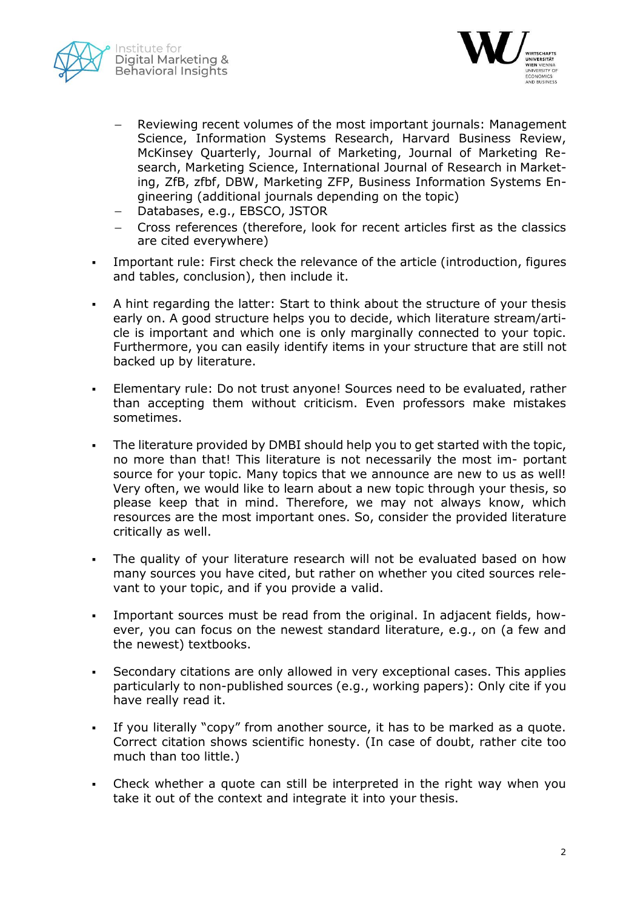



- Reviewing recent volumes of the most important journals: Management Science, Information Systems Research, Harvard Business Review, McKinsey Quarterly, Journal of Marketing, Journal of Marketing Research, Marketing Science, International Journal of Research in Marketing, ZfB, zfbf, DBW, Marketing ZFP, Business Information Systems Engineering (additional journals depending on the topic)
- Databases, e.g., EBSCO, JSTOR
- Cross references (therefore, look for recent articles first as the classics are cited everywhere)
- Important rule: First check the relevance of the article (introduction, figures and tables, conclusion), then include it.
- A hint regarding the latter: Start to think about the structure of your thesis early on. A good structure helps you to decide, which literature stream/article is important and which one is only marginally connected to your topic. Furthermore, you can easily identify items in your structure that are still not backed up by literature.
- Elementary rule: Do not trust anyone! Sources need to be evaluated, rather than accepting them without criticism. Even professors make mistakes sometimes.
- The literature provided by DMBI should help you to get started with the topic, no more than that! This literature is not necessarily the most im- portant source for your topic. Many topics that we announce are new to us as well! Very often, we would like to learn about a new topic through your thesis, so please keep that in mind. Therefore, we may not always know, which resources are the most important ones. So, consider the provided literature critically as well.
- The quality of your literature research will not be evaluated based on how many sources you have cited, but rather on whether you cited sources relevant to your topic, and if you provide a valid.
- Important sources must be read from the original. In adjacent fields, however, you can focus on the newest standard literature, e.g., on (a few and the newest) textbooks.
- Secondary citations are only allowed in very exceptional cases. This applies particularly to non-published sources (e.g., working papers): Only cite if you have really read it.
- If you literally "copy" from another source, it has to be marked as a quote. Correct citation shows scientific honesty. (In case of doubt, rather cite too much than too little.)
- Check whether a quote can still be interpreted in the right way when you take it out of the context and integrate it into your thesis.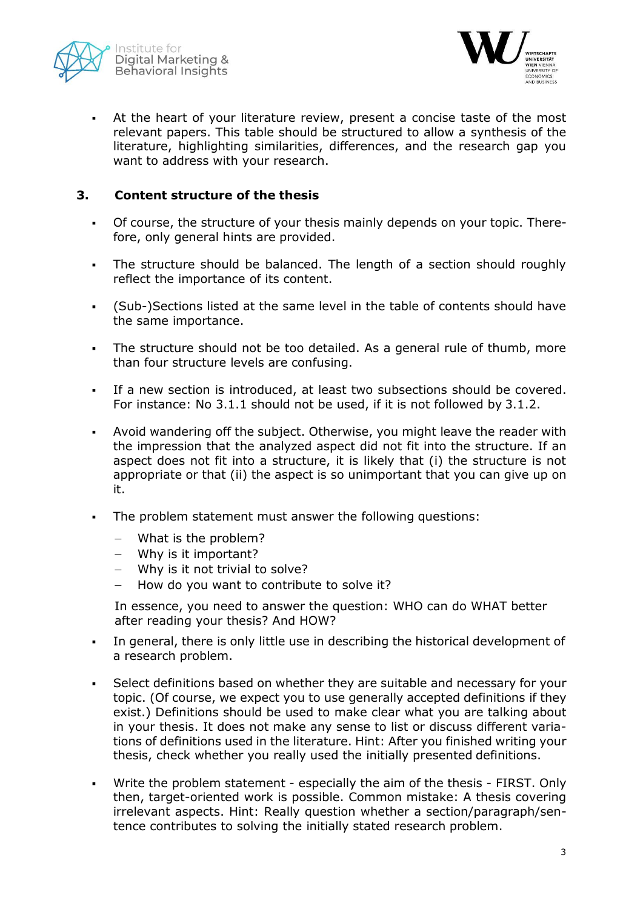



 At the heart of your literature review, present a concise taste of the most relevant papers. This table should be structured to allow a synthesis of the literature, highlighting similarities, differences, and the research gap you want to address with your research.

## **3. Content structure of the thesis**

- Of course, the structure of your thesis mainly depends on your topic. Therefore, only general hints are provided.
- The structure should be balanced. The length of a section should roughly reflect the importance of its content.
- (Sub-)Sections listed at the same level in the table of contents should have the same importance.
- The structure should not be too detailed. As a general rule of thumb, more than four structure levels are confusing.
- If a new section is introduced, at least two subsections should be covered. For instance: No 3.1.1 should not be used, if it is not followed by 3.1.2.
- Avoid wandering off the subject. Otherwise, you might leave the reader with the impression that the analyzed aspect did not fit into the structure. If an aspect does not fit into a structure, it is likely that (i) the structure is not appropriate or that (ii) the aspect is so unimportant that you can give up on it.
- The problem statement must answer the following questions:
	- What is the problem?
	- Why is it important?
	- Why is it not trivial to solve?
	- $-$  How do you want to contribute to solve it?

In essence, you need to answer the question: WHO can do WHAT better after reading your thesis? And HOW?

- In general, there is only little use in describing the historical development of a research problem.
- Select definitions based on whether they are suitable and necessary for your topic. (Of course, we expect you to use generally accepted definitions if they exist.) Definitions should be used to make clear what you are talking about in your thesis. It does not make any sense to list or discuss different variations of definitions used in the literature. Hint: After you finished writing your thesis, check whether you really used the initially presented definitions.
- Write the problem statement especially the aim of the thesis FIRST. Only then, target-oriented work is possible. Common mistake: A thesis covering irrelevant aspects. Hint: Really question whether a section/paragraph/sentence contributes to solving the initially stated research problem.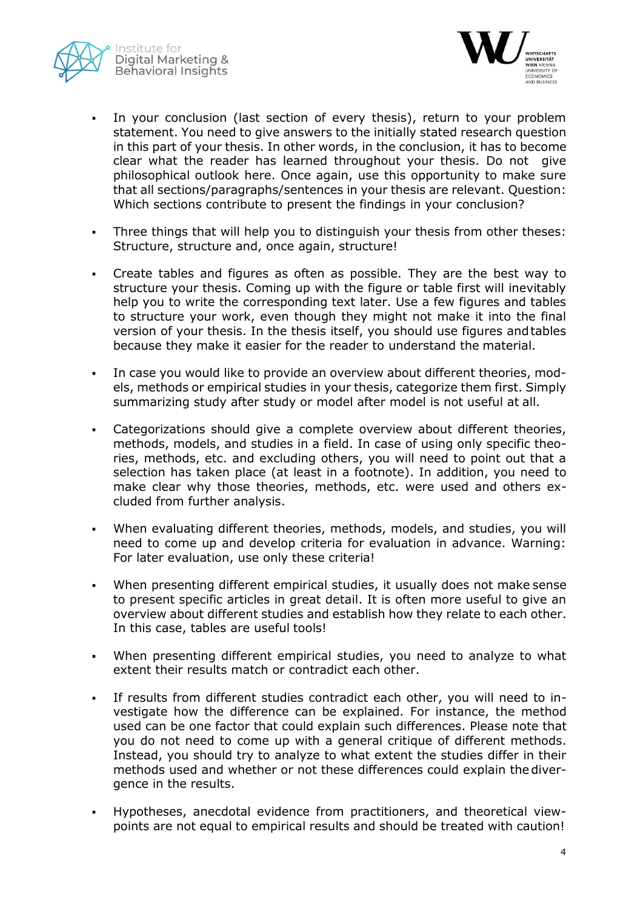



- In your conclusion (last section of every thesis), return to your problem statement. You need to give answers to the initially stated research question in this part of your thesis. In other words, in the conclusion, it has to become clear what the reader has learned throughout your thesis. Do not give philosophical outlook here. Once again, use this opportunity to make sure that all sections/paragraphs/sentences in your thesis are relevant. Question: Which sections contribute to present the findings in your conclusion?
- Three things that will help you to distinguish your thesis from other theses: Structure, structure and, once again, structure!
- Create tables and figures as often as possible. They are the best way to structure your thesis. Coming up with the figure or table first will inevitably help you to write the corresponding text later. Use a few figures and tables to structure your work, even though they might not make it into the final version of your thesis. In the thesis itself, you should use figures andtables because they make it easier for the reader to understand the material.
- In case you would like to provide an overview about different theories, models, methods or empirical studies in your thesis, categorize them first. Simply summarizing study after study or model after model is not useful at all.
- Categorizations should give a complete overview about different theories, methods, models, and studies in a field. In case of using only specific theories, methods, etc. and excluding others, you will need to point out that a selection has taken place (at least in a footnote). In addition, you need to make clear why those theories, methods, etc. were used and others excluded from further analysis.
- When evaluating different theories, methods, models, and studies, you will need to come up and develop criteria for evaluation in advance. Warning: For later evaluation, use only these criteria!
- When presenting different empirical studies, it usually does not make sense to present specific articles in great detail. It is often more useful to give an overview about different studies and establish how they relate to each other. In this case, tables are useful tools!
- When presenting different empirical studies, you need to analyze to what extent their results match or contradict each other.
- If results from different studies contradict each other, you will need to investigate how the difference can be explained. For instance, the method used can be one factor that could explain such differences. Please note that you do not need to come up with a general critique of different methods. Instead, you should try to analyze to what extent the studies differ in their methods used and whether or not these differences could explain thedivergence in the results.
- Hypotheses, anecdotal evidence from practitioners, and theoretical viewpoints are not equal to empirical results and should be treated with caution!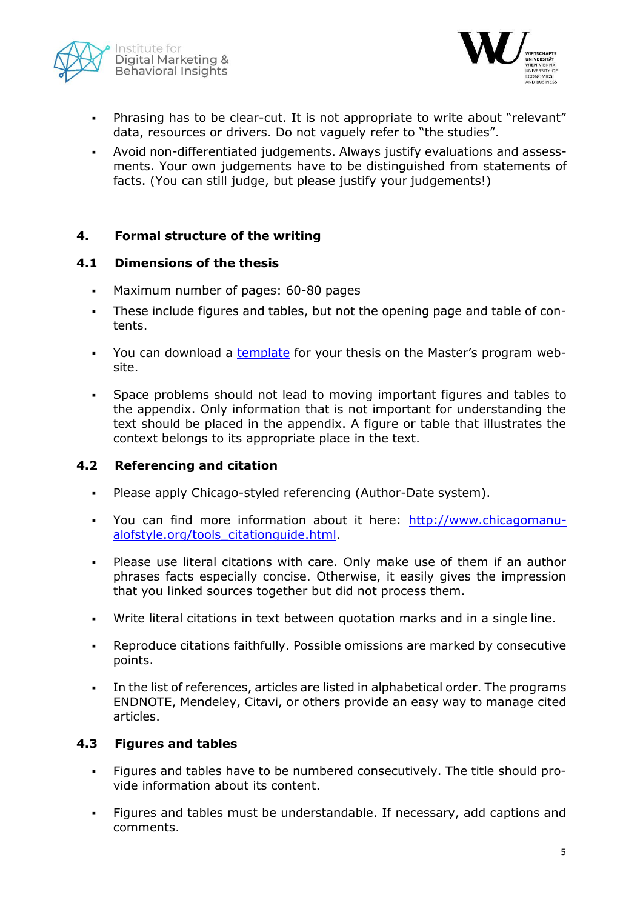



- Phrasing has to be clear-cut. It is not appropriate to write about "relevant" data, resources or drivers. Do not vaguely refer to "the studies".
- Avoid non-differentiated judgements. Always justify evaluations and assessments. Your own judgements have to be distinguished from statements of facts. (You can still judge, but please justify your judgements!)

## **4. Formal structure of the writing**

#### **4.1 Dimensions of the thesis**

- Maximum number of pages: 60-80 pages
- These include figures and tables, but not the opening page and table of contents.
- You can download a [template](http://www.wu.ac.at/fileadmin/wu/h/programs/master/marketing/style_guide_master_thesis.docx) for your thesis on the Master's program website.
- Space problems should not lead to moving important figures and tables to the appendix. Only information that is not important for understanding the text should be placed in the appendix. A figure or table that illustrates the context belongs to its appropriate place in the text.

#### **4.2 Referencing and citation**

- Please apply Chicago-styled referencing (Author-Date system).
- You can find more information about it here: [http://www.chicagomanu](http://www.chicagomanualofstyle.org/tools_citationguide.html)[alofstyle.org/tools\\_citationguide.html.](http://www.chicagomanualofstyle.org/tools_citationguide.html)
- Please use literal citations with care. Only make use of them if an author phrases facts especially concise. Otherwise, it easily gives the impression that you linked sources together but did not process them.
- Write literal citations in text between quotation marks and in a single line.
- Reproduce citations faithfully. Possible omissions are marked by consecutive points.
- In the list of references, articles are listed in alphabetical order. The programs ENDNOTE, Mendeley, Citavi, or others provide an easy way to manage cited articles.

#### **4.3 Figures and tables**

- Figures and tables have to be numbered consecutively. The title should provide information about its content.
- Figures and tables must be understandable. If necessary, add captions and comments.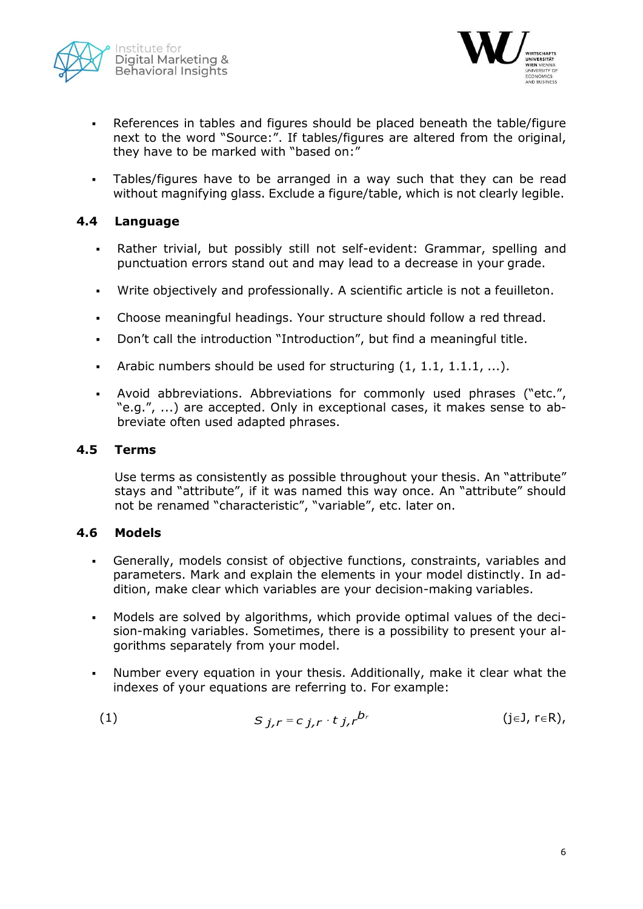



- References in tables and figures should be placed beneath the table/figure next to the word "Source:". If tables/figures are altered from the original, they have to be marked with "based on:"
- Tables/figures have to be arranged in a way such that they can be read without magnifying glass. Exclude a figure/table, which is not clearly legible.

## **4.4 Language**

- Rather trivial, but possibly still not self-evident: Grammar, spelling and punctuation errors stand out and may lead to a decrease in your grade.
- Write objectively and professionally. A scientific article is not a feuilleton.
- Choose meaningful headings. Your structure should follow a red thread.
- Don't call the introduction "Introduction", but find a meaningful title.
- Arabic numbers should be used for structuring  $(1, 1.1, 1.1.1, ...)$ .
- Avoid abbreviations. Abbreviations for commonly used phrases ("etc.", "e.g.", ...) are accepted. Only in exceptional cases, it makes sense to abbreviate often used adapted phrases.

#### **4.5 Terms**

Use terms as consistently as possible throughout your thesis. An "attribute" stays and "attribute", if it was named this way once. An "attribute" should not be renamed "characteristic", "variable", etc. later on.

#### **4.6 Models**

- Generally, models consist of objective functions, constraints, variables and parameters. Mark and explain the elements in your model distinctly. In addition, make clear which variables are your decision-making variables.
- Models are solved by algorithms, which provide optimal values of the decision-making variables. Sometimes, there is a possibility to present your algorithms separately from your model.
- Number every equation in your thesis. Additionally, make it clear what the indexes of your equations are referring to. For example:

(1) 
$$
S_{j,r} = c_{j,r} \cdot t_{j,r}^{b_r}
$$
 (j\in J, r\in R),